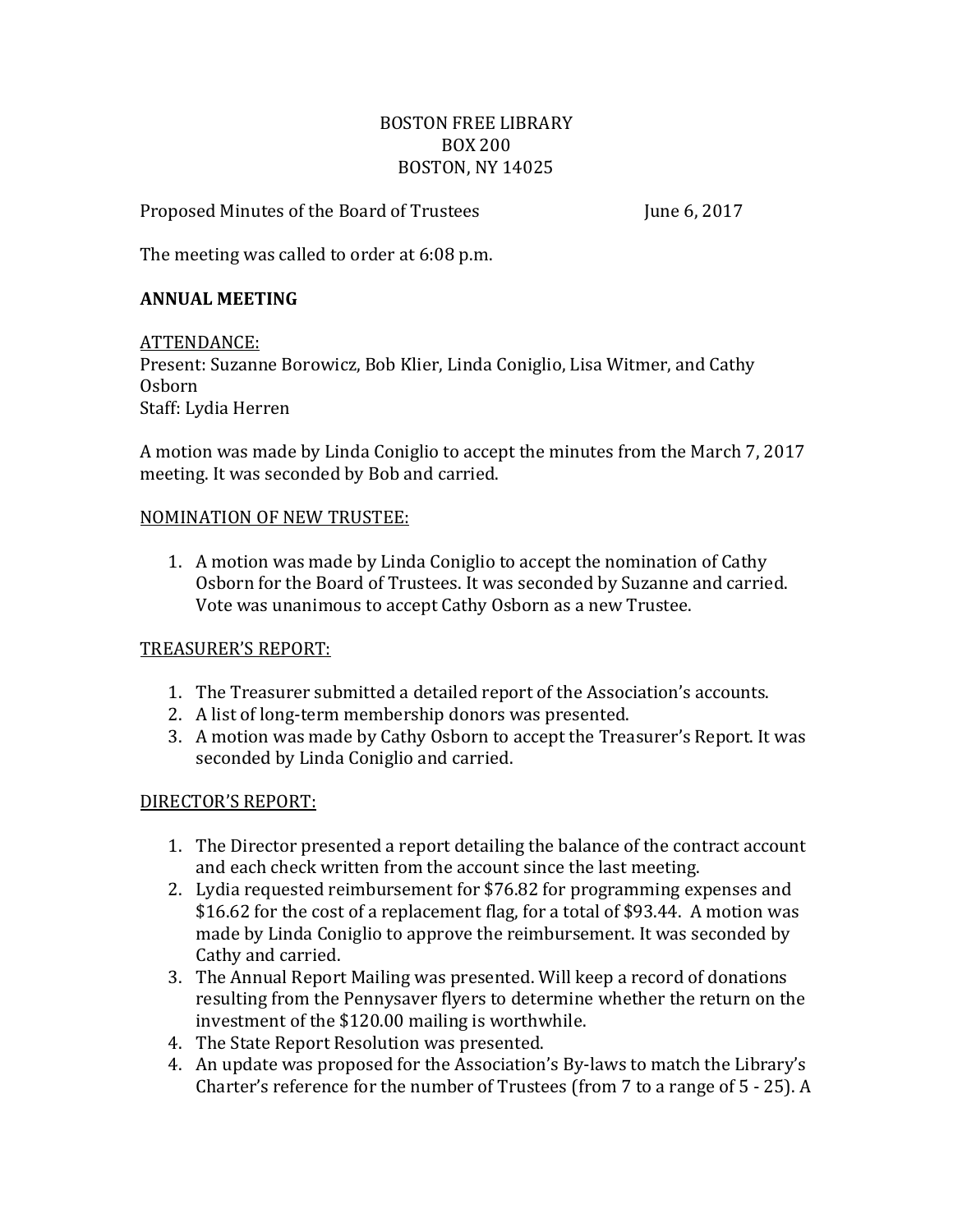### BOSTON FREE LIBRARY BOX 200 BOSTON, NY 14025

Proposed Minutes of the Board of Trustees June 6, 2017

The meeting was called to order at 6:08 p.m.

### **ANNUAL MEETING**

ATTENDANCE:

Present: Suzanne Borowicz, Bob Klier, Linda Coniglio, Lisa Witmer, and Cathy Osborn Staff: Lydia Herren

A motion was made by Linda Coniglio to accept the minutes from the March 7, 2017 meeting. It was seconded by Bob and carried.

#### NOMINATION OF NEW TRUSTEE:

1. A motion was made by Linda Coniglio to accept the nomination of Cathy Osborn for the Board of Trustees. It was seconded by Suzanne and carried. Vote was unanimous to accept Cathy Osborn as a new Trustee.

# TREASURER'S REPORT:

- 1. The Treasurer submitted a detailed report of the Association's accounts.
- 2. A list of long-term membership donors was presented.
- 3. A motion was made by Cathy Osborn to accept the Treasurer's Report. It was seconded by Linda Coniglio and carried.

#### DIRECTOR'S REPORT:

- 1. The Director presented a report detailing the balance of the contract account and each check written from the account since the last meeting.
- 2. Lydia requested reimbursement for \$76.82 for programming expenses and \$16.62 for the cost of a replacement flag, for a total of \$93.44. A motion was made by Linda Coniglio to approve the reimbursement. It was seconded by Cathy and carried.
- 3. The Annual Report Mailing was presented. Will keep a record of donations resulting from the Pennysaver flyers to determine whether the return on the investment of the \$120.00 mailing is worthwhile.
- 4. The State Report Resolution was presented.
- 4. An update was proposed for the Association's By-laws to match the Library's Charter's reference for the number of Trustees (from 7 to a range of 5 - 25). A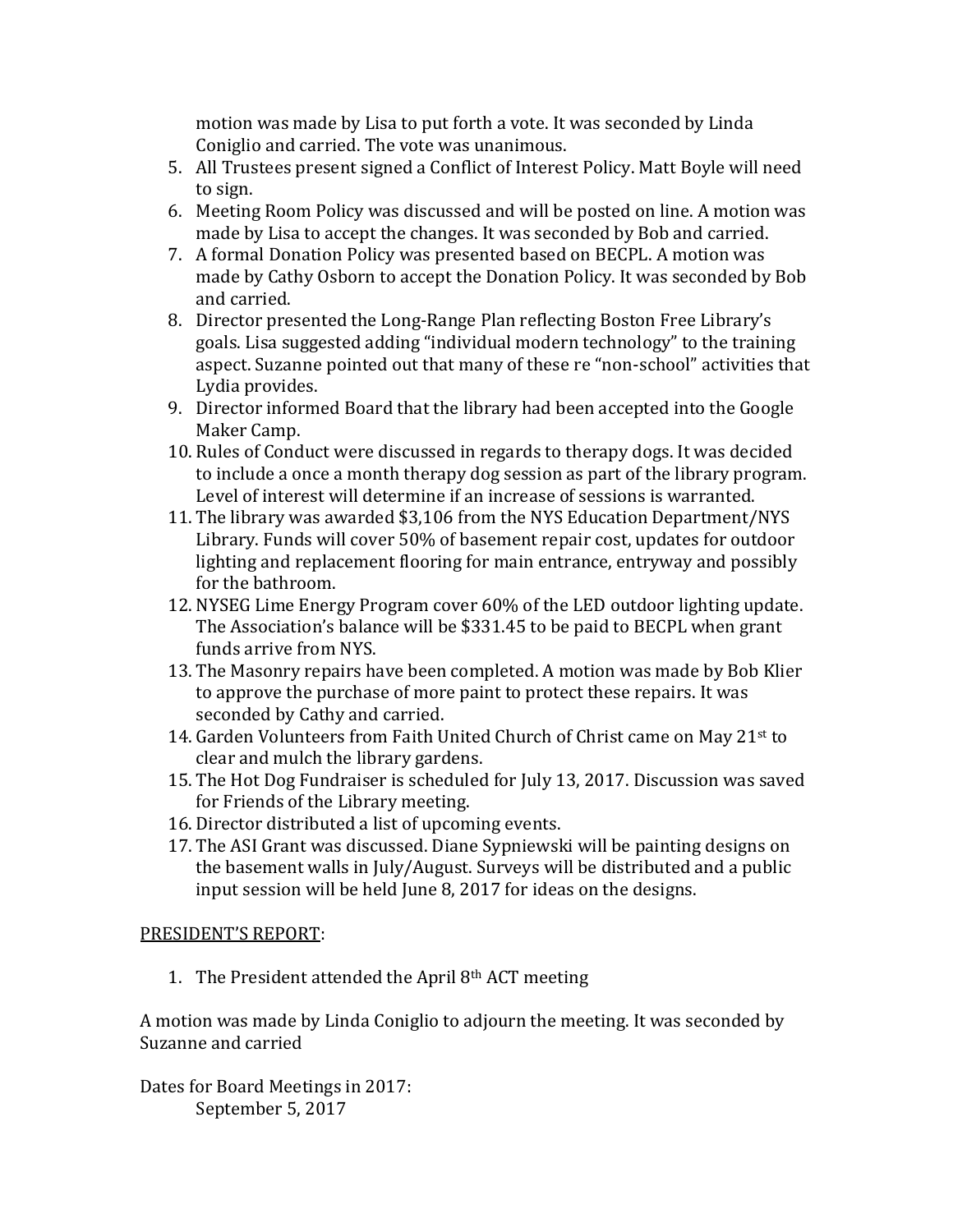motion was made by Lisa to put forth a vote. It was seconded by Linda Coniglio and carried. The vote was unanimous.

- 5. All Trustees present signed a Conflict of Interest Policy. Matt Boyle will need to sign.
- 6. Meeting Room Policy was discussed and will be posted on line. A motion was made by Lisa to accept the changes. It was seconded by Bob and carried.
- 7. A formal Donation Policy was presented based on BECPL. A motion was made by Cathy Osborn to accept the Donation Policy. It was seconded by Bob and carried.
- 8. Director presented the Long-Range Plan reflecting Boston Free Library's goals. Lisa suggested adding "individual modern technology" to the training aspect. Suzanne pointed out that many of these re "non-school" activities that Lydia provides.
- 9. Director informed Board that the library had been accepted into the Google Maker Camp.
- 10. Rules of Conduct were discussed in regards to therapy dogs. It was decided to include a once a month therapy dog session as part of the library program. Level of interest will determine if an increase of sessions is warranted.
- 11. The library was awarded \$3,106 from the NYS Education Department/NYS Library. Funds will cover 50% of basement repair cost, updates for outdoor lighting and replacement flooring for main entrance, entryway and possibly for the bathroom.
- 12. NYSEG Lime Energy Program cover 60% of the LED outdoor lighting update. The Association's balance will be \$331.45 to be paid to BECPL when grant funds arrive from NYS.
- 13. The Masonry repairs have been completed. A motion was made by Bob Klier to approve the purchase of more paint to protect these repairs. It was seconded by Cathy and carried.
- 14. Garden Volunteers from Faith United Church of Christ came on May 21st to clear and mulch the library gardens.
- 15. The Hot Dog Fundraiser is scheduled for July 13, 2017. Discussion was saved for Friends of the Library meeting.
- 16. Director distributed a list of upcoming events.
- 17. The ASI Grant was discussed. Diane Sypniewski will be painting designs on the basement walls in July/August. Surveys will be distributed and a public input session will be held June 8, 2017 for ideas on the designs.

# PRESIDENT'S REPORT:

1. The President attended the April 8th ACT meeting

A motion was made by Linda Coniglio to adjourn the meeting. It was seconded by Suzanne and carried

Dates for Board Meetings in 2017: September 5, 2017